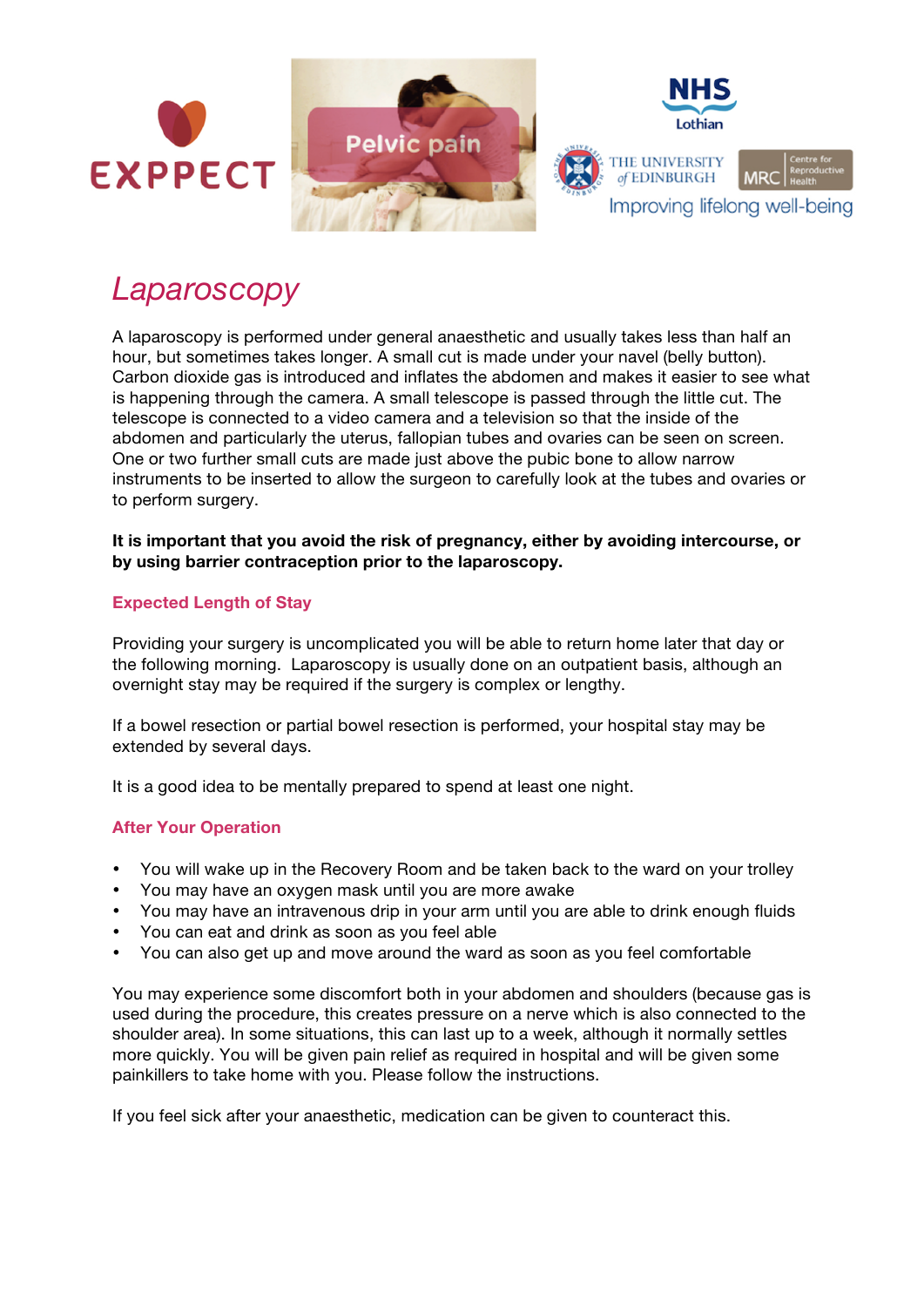

# *Laparoscopy*

A laparoscopy is performed under general anaesthetic and usually takes less than half an hour, but sometimes takes longer. A small cut is made under your navel (belly button). Carbon dioxide gas is introduced and inflates the abdomen and makes it easier to see what is happening through the camera. A small telescope is passed through the little cut. The telescope is connected to a video camera and a television so that the inside of the abdomen and particularly the uterus, fallopian tubes and ovaries can be seen on screen. One or two further small cuts are made just above the pubic bone to allow narrow instruments to be inserted to allow the surgeon to carefully look at the tubes and ovaries or to perform surgery.

### **It is important that you avoid the risk of pregnancy, either by avoiding intercourse, or by using barrier contraception prior to the laparoscopy.**

## **Expected Length of Stay**

Providing your surgery is uncomplicated you will be able to return home later that day or the following morning. Laparoscopy is usually done on an outpatient basis, although an overnight stay may be required if the surgery is complex or lengthy.

If a bowel resection or partial bowel resection is performed, your hospital stay may be extended by several days.

It is a good idea to be mentally prepared to spend at least one night.

#### **After Your Operation**

- You will wake up in the Recovery Room and be taken back to the ward on your trolley
- You may have an oxygen mask until you are more awake
- You may have an intravenous drip in your arm until you are able to drink enough fluids
- You can eat and drink as soon as you feel able
- You can also get up and move around the ward as soon as you feel comfortable

You may experience some discomfort both in your abdomen and shoulders (because gas is used during the procedure, this creates pressure on a nerve which is also connected to the shoulder area). In some situations, this can last up to a week, although it normally settles more quickly. You will be given pain relief as required in hospital and will be given some painkillers to take home with you. Please follow the instructions.

If you feel sick after your anaesthetic, medication can be given to counteract this.